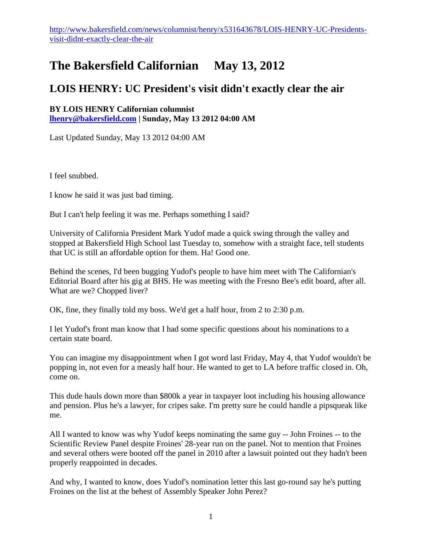## **The Bakersfield Californian May 13, 2012**

## **LOIS HENRY: UC President's visit didn't exactly clear the air**

**BY LOIS HENRY Californian columnist [lhenry@bakersfield.com](mailto:lhenry@bakersfield.com) | Sunday, May 13 2012 04:00 AM**

Last Updated Sunday, May 13 2012 04:00 AM

I feel snubbed.

I know he said it was just bad timing.

But I can't help feeling it was me. Perhaps something I said?

University of California President Mark Yudof made a quick swing through the valley and stopped at Bakersfield High School last Tuesday to, somehow with a straight face, tell students that UC is still an affordable option for them. Ha! Good one.

Behind the scenes, I'd been bugging Yudof's people to have him meet with The Californian's Editorial Board after his gig at BHS. He was meeting with the Fresno Bee's edit board, after all. What are we? Chopped liver?

OK, fine, they finally told my boss. We'd get a half hour, from 2 to 2:30 p.m.

I let Yudof's front man know that I had some specific questions about his nominations to a certain state board.

You can imagine my disappointment when I got word last Friday, May 4, that Yudof wouldn't be popping in, not even for a measly half hour. He wanted to get to LA before traffic closed in. Oh, come on.

This dude hauls down more than \$800k a year in taxpayer loot including his housing allowance and pension. Plus he's a lawyer, for cripes sake. I'm pretty sure he could handle a pipsqueak like me.

All I wanted to know was why Yudof keeps nominating the same guy -- John Froines -- to the Scientific Review Panel despite Froines' 28-year run on the panel. Not to mention that Froines and several others were booted off the panel in 2010 after a lawsuit pointed out they hadn't been properly reappointed in decades.

And why, I wanted to know, does Yudof's nomination letter this last go-round say he's putting Froines on the list at the behest of Assembly Speaker John Perez?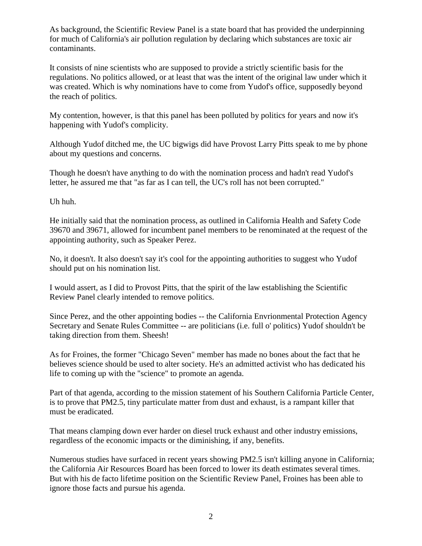As background, the Scientific Review Panel is a state board that has provided the underpinning for much of California's air pollution regulation by declaring which substances are toxic air contaminants.

It consists of nine scientists who are supposed to provide a strictly scientific basis for the regulations. No politics allowed, or at least that was the intent of the original law under which it was created. Which is why nominations have to come from Yudof's office, supposedly beyond the reach of politics.

My contention, however, is that this panel has been polluted by politics for years and now it's happening with Yudof's complicity.

Although Yudof ditched me, the UC bigwigs did have Provost Larry Pitts speak to me by phone about my questions and concerns.

Though he doesn't have anything to do with the nomination process and hadn't read Yudof's letter, he assured me that "as far as I can tell, the UC's roll has not been corrupted."

Uh huh.

He initially said that the nomination process, as outlined in California Health and Safety Code 39670 and 39671, allowed for incumbent panel members to be renominated at the request of the appointing authority, such as Speaker Perez.

No, it doesn't. It also doesn't say it's cool for the appointing authorities to suggest who Yudof should put on his nomination list.

I would assert, as I did to Provost Pitts, that the spirit of the law establishing the Scientific Review Panel clearly intended to remove politics.

Since Perez, and the other appointing bodies -- the California Envrionmental Protection Agency Secretary and Senate Rules Committee -- are politicians (i.e. full o' politics) Yudof shouldn't be taking direction from them. Sheesh!

As for Froines, the former "Chicago Seven" member has made no bones about the fact that he believes science should be used to alter society. He's an admitted activist who has dedicated his life to coming up with the "science" to promote an agenda.

Part of that agenda, according to the mission statement of his Southern California Particle Center, is to prove that PM2.5, tiny particulate matter from dust and exhaust, is a rampant killer that must be eradicated.

That means clamping down ever harder on diesel truck exhaust and other industry emissions, regardless of the economic impacts or the diminishing, if any, benefits.

Numerous studies have surfaced in recent years showing PM2.5 isn't killing anyone in California; the California Air Resources Board has been forced to lower its death estimates several times. But with his de facto lifetime position on the Scientific Review Panel, Froines has been able to ignore those facts and pursue his agenda.